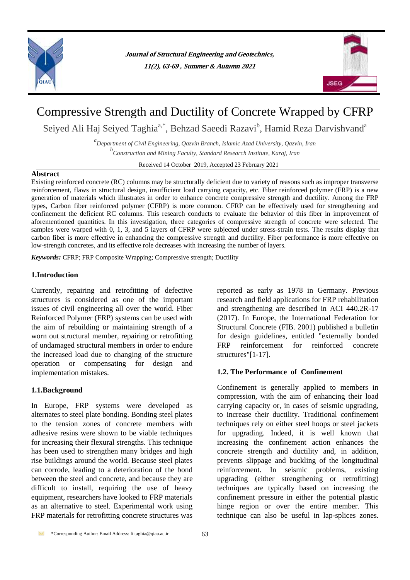

**Journal of Structural Engineering and Geotechnics, 11(2), 63-69 , Summer & Autumn 2021**



# Compressive Strength and Ductility of Concrete Wrapped by CFRP

Seiyed Ali Haj Seiyed Taghia<sup>a,\*</sup>, Behzad Saeedi Razavi<sup>b</sup>, Hamid Reza Darvishvand<sup>a</sup>

*a Department of Civil Engineering, Qazvin Branch, Islamic Azad University, Qazvin, Iran b Construction and Mining Faculty, Standard Research Institute, Karaj, Iran*

Received 14 October 2019, Accepted 23 February 2021

# **Abstract**

Existing reinforced concrete (RC) columns may be structurally deficient due to variety of reasons such as improper transverse reinforcement, flaws in structural design, insufficient load carrying capacity, etc. Fiber reinforced polymer (FRP) is a new generation of materials which illustrates in order to enhance concrete compressive strength and ductility. Among the FRP types, Carbon fiber reinforced polymer (CFRP) is more common. CFRP can be effectively used for strengthening and confinement the deficient RC columns. This research conducts to evaluate the behavior of this fiber in improvement of aforementioned quantities. In this investigation, three categories of compressive strength of concrete were selected. The samples were warped with 0, 1, 3, and 5 layers of CFRP were subjected under stress-strain tests. The results display that carbon fiber is more effective in enhancing the compressive strength and ductility. Fiber performance is more effective on low-strength concretes, and its effective role decreases with increasing the number of layers.

*Keywords:* CFRP; FRP Composite Wrapping; Compressive strength; Ductility

# **1.Introduction**

Currently, repairing and retrofitting of defective structures is considered as one of the important issues of civil engineering all over the world. Fiber Reinforced Polymer (FRP) systems can be used with the aim of rebuilding or maintaining strength of a worn out structural member, repairing or retrofitting of undamaged structural members in order to endure the increased load due to changing of the structure operation or compensating for design and implementation mistakes.

# **1.1.Background**

In Europe, FRP systems were developed as alternates to steel plate bonding. Bonding steel plates to the tension zones of concrete members with adhesive resins were shown to be viable techniques for increasing their flexural strengths. This technique has been used to strengthen many bridges and high rise buildings around the world. Because steel plates can corrode, leading to a deterioration of the bond between the steel and concrete, and because they are difficult to install, requiring the use of heavy equipment, researchers have looked to FRP materials as an alternative to steel. Experimental work using FRP materials for retrofitting concrete structures was

reported as early as 1978 in Germany. Previous research and field applications for FRP rehabilitation and strengthening are described in ACI 440.2R-17 (2017). In Europe, the International Federation for Structural Concrete (FIB. 2001) published a bulletin for design guidelines, entitled "externally bonded FRP reinforcement for reinforced concrete structures"[1-17].

# **1.2. The Performance of Confinement**

Confinement is generally applied to members in compression, with the aim of enhancing their load carrying capacity or, in cases of seismic upgrading, to increase their ductility. Traditional confinement techniques rely on either steel hoops or steel jackets for upgrading. Indeed, it is well known that increasing the confinement action enhances the concrete strength and ductility and, in addition, prevents slippage and buckling of the longitudinal reinforcement. In seismic problems, existing upgrading (either strengthening or retrofitting) techniques are typically based on increasing the confinement pressure in either the potential plastic hinge region or over the entire member. This technique can also be useful in lap-splices zones.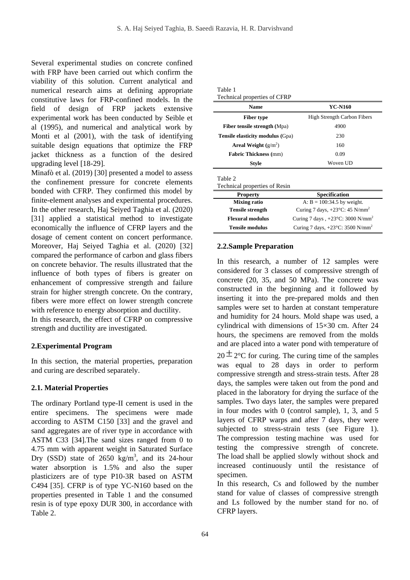Several experimental studies on concrete confined with FRP have been carried out which confirm the viability of this solution. Current analytical and numerical research aims at defining appropriate constitutive laws for FRP-confined models. In the field of design of FRP jackets extensive experimental work has been conducted by Seible et al (1995), and numerical and analytical work by Monti et al (2001), with the task of identifying suitable design equations that optimize the FRP jacket thickness as a function of the desired upgrading level [18-29].

Minafò et al. (2019) [30] presented a model to assess the confinement pressure for concrete elements bonded with CFRP. They confirmed this model by finite-element analyses and experimental procedures. In the other research, [Haj Seiyed Taghia](https://ascelibrary.org/author/Haj+Seiyed+Taghia%2C+Seiyed+Ali) et al. (2020) [31] applied a statistical method to investigate economically the influence of CFRP layers and the dosage of cement content on concert performance. Moreover, [Haj Seiyed Taghia](https://ascelibrary.org/author/Haj+Seiyed+Taghia%2C+Seiyed+Ali) et al. (2020) [32] compared the performance of carbon and glass fibers on concrete behavior. The results illustrated that the influence of both types of fibers is greater on enhancement of compressive strength and failure strain for higher strength concrete. On the contrary, fibers were more effect on lower strength concrete with reference to energy absorption and ductility.

In this research, the effect of CFRP on compressive strength and ductility are investigated.

# **2.Experimental Program**

In this section, the material properties, preparation and curing are described separately.

# **2.1. Material Properties**

The ordinary Portland type-II cement is used in the entire specimens. The specimens were made according to ASTM C150 [33] and the gravel and sand aggregates are of river type in accordance with ASTM C33 [34].The sand sizes ranged from 0 to 4.75 mm with apparent weight in Saturated Surface Dry (SSD) state of  $2650 \text{ kg/m}^3$ , and its 24-hour water absorption is 1.5% and also the super plasticizers are of type P10-3R based on ASTM C494 [35]. CFRP is of type YC-N160 based on the properties presented in Table 1 and the consumed resin is of type epoxy DUR 300, in accordance with Table 2.

| Table 1 |                              |
|---------|------------------------------|
|         | Technical properties of CFRP |

| <b>Name</b>                              | YC-N160                            |
|------------------------------------------|------------------------------------|
| <b>Fiber type</b>                        | <b>High Strength Carbon Fibers</b> |
| <b>Fiber tensile strength (Mpa)</b>      | 4900                               |
| <b>Tensile elasticity modulus (Gpa)</b>  | 230                                |
| Areal Weight $(g/m^2)$                   | 160                                |
| <b>Fabric Thickness</b> (mm)             | 0.09                               |
| <b>Style</b>                             | Woven UD                           |
| Table 2<br>Technical properties of Resin |                                    |
| <b>Property</b>                          | <b>Specification</b>               |
| <b>Mixing ratio</b>                      | A: $B = 100:34.5$ by weight.       |

| 11 VIVLLY               | рреспления                                              |
|-------------------------|---------------------------------------------------------|
| <b>Mixing ratio</b>     | A: $B = 100:34.5$ by weight.                            |
| <b>Tensile strength</b> | Curing 7 days, $+23^{\circ}$ C: 45 N/mm <sup>2</sup>    |
| <b>Flexural modulus</b> | Curing 7 days , $+23^{\circ}$ C: 3000 N/mm <sup>2</sup> |
| <b>Tensile modulus</b>  | Curing 7 days, $+23^{\circ}$ C: 3500 N/mm <sup>2</sup>  |

# **2.2.Sample Preparation**

In this research, a number of 12 samples were considered for 3 classes of compressive strength of concrete (20, 35, and 50 MPa). The concrete was constructed in the beginning and it followed by inserting it into the pre-prepared molds and then samples were set to harden at constant temperature and humidity for 24 hours. Mold shape was used, a cylindrical with dimensions of 15×30 cm. After 24 hours, the specimens are removed from the molds and are placed into a water pond with temperature of

 $20 \pm 2^{\circ}$ C for curing. The curing time of the samples was equal to 28 days in order to perform compressive strength and stress-strain tests. After 28 days, the samples were taken out from the pond and placed in the laboratory for drying the surface of the samples. Two days later, the samples were prepared in four modes with 0 (control sample), 1, 3, and 5 layers of CFRP warps and after 7 days, they were subjected to stress-strain tests (see Figure 1). The compression testing machine was used for testing the compressive strength of concrete. The load shall be applied slowly without shock and increased continuously until the resistance of specimen.

In this research, Cs and followed by the number stand for value of classes of compressive strength and Ls followed by the number stand for no. of CFRP layers.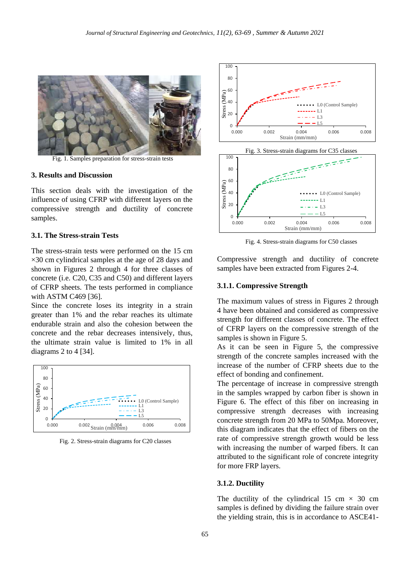

Fig. 1. Samples preparation for stress-strain tests

#### **3. Results and Discussion**

This section deals with the investigation of the influence of using CFRP with different layers on the compressive strength and ductility of concrete samples.

#### **3.1. The Stress-strain Tests**

The stress-strain tests were performed on the 15 cm  $\times$ 30 cm cylindrical samples at the age of 28 days and shown in Figures 2 through 4 for three classes of concrete (i.e. C20, C35 and C50) and different layers of CFRP sheets. The tests performed in compliance with ASTM C469 [36].

Since the concrete loses its integrity in a strain greater than 1% and the rebar reaches its ultimate endurable strain and also the cohesion between the concrete and the rebar decreases intensively, thus, the ultimate strain value is limited to 1% in all diagrams 2 to 4 [34].



Fig. 2. Stress-strain diagrams for C20 classes





Fig. 4. Stress-strain diagrams for C50 classes

Compressive strength and ductility of concrete samples have been extracted from Figures 2-4.

# **3.1.1. Compressive Strength**

The maximum values of stress in Figures 2 through 4 have been obtained and considered as compressive strength for different classes of concrete. The effect of CFRP layers on the compressive strength of the samples is shown in Figure 5.

As it can be seen in Figure 5, the compressive strength of the concrete samples increased with the increase of the number of CFRP sheets due to the effect of bonding and confinement.

The percentage of increase in compressive strength in the samples wrapped by carbon fiber is shown in Figure 6. The effect of this fiber on increasing in compressive strength decreases with increasing concrete strength from 20 MPa to 50Mpa. Moreover, this diagram indicates that the effect of fibers on the rate of compressive strength growth would be less with increasing the number of warped fibers. It can attributed to the significant role of concrete integrity for more FRP layers.

#### **3.1.2. Ductility**

The ductility of the cylindrical 15 cm  $\times$  30 cm samples is defined by dividing the failure strain over the yielding strain, this is in accordance to ASCE41-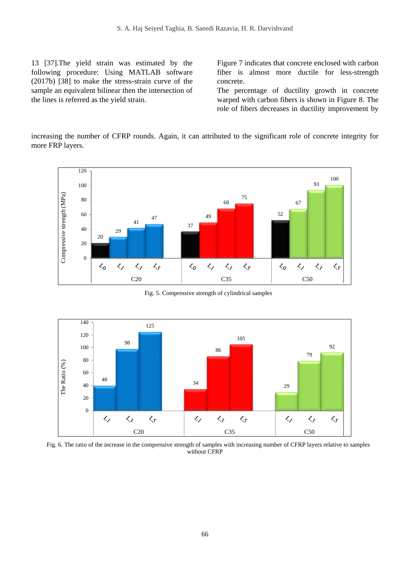13 [37].The yield strain was estimated by the following procedure: Using MATLAB software (2017b) [38] to make the stress-strain curve of the sample an equivalent bilinear then the intersection of the lines is referred as the yield strain.

Figure 7 indicates that concrete enclosed with carbon fiber is almost more ductile for less-strength concrete.

The percentage of ductility growth in concrete warped with carbon fibers is shown in Figure 8. The role of fibers decreases in ductility improvement by

increasing the number of CFRP rounds. Again, it can attributed to the significant role of concrete integrity for more FRP layers.



Fig. 5. Compressive strength of cylindrical samples



Fig. 6. The ratio of the increase in the compressive strength of samples with increasing number of CFRP layers relative to samples without CFRP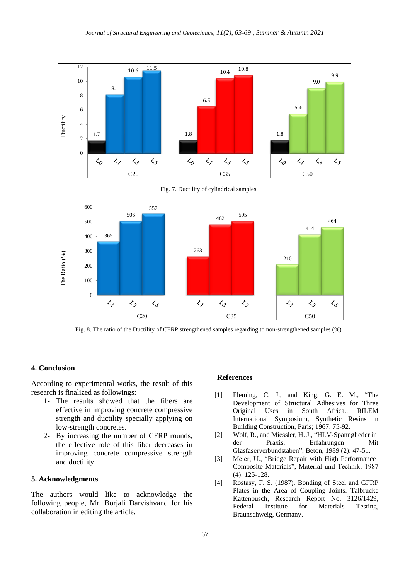

Fig. 7. Ductility of cylindrical samples



Fig. 8. The ratio of the Ductility of CFRP strengthened samples regarding to non-strengthened samples (%)

#### **4. Conclusion**

According to experimental works, the result of this research is finalized as followings:

- 1- The results showed that the fibers are effective in improving concrete compressive strength and ductility specially applying on low-strength concretes.
- 2- By increasing the number of CFRP rounds, the effective role of this fiber decreases in improving concrete compressive strength and ductility.

# **5. Acknowledgments**

The authors would like to acknowledge the following people, Mr. Borjali Darvishvand for his collaboration in editing the article.

#### **References**

- Fleming, C. J., and King, G. E. M., "The Development of Structural Adhesives for Three Original Uses in South Africa., RILEM International Symposium, Synthetic Resins in Building Construction, Paris; 1967: 75-92.  $[1]$
- Wolf, R., and Miessler, H. J., "HLV-Spannglieder in der Praxis. Erfahrungen Mit Glasfaserverbundstaben", Beton, 1989 (2): 47-51. [2]
- Meier, U., "Bridge Repair with High Performance Composite Materials", Material und Technik; 1987 (4): 125-128. [3]
- Rostasy, F. S. (1987). Bonding of Steel and GFRP Plates in the Area of Coupling Joints. Talbrucke Kattenbusch, Research Report No. 3126/1429, Federal Institute for Materials Testing, Braunschweig, Germany. [4]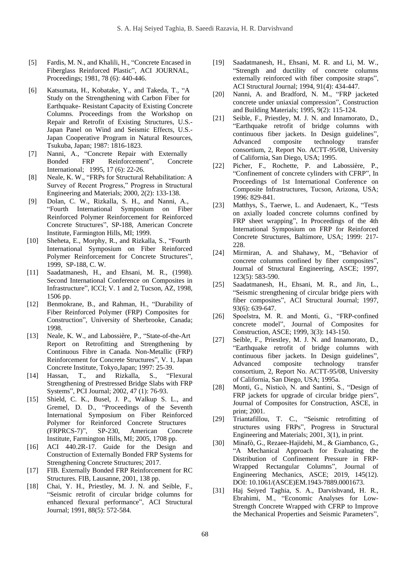- Fardis, M. N., and Khalili, H., "Concrete Encased in Fiberglass Reinforced Plastic", ACI JOURNAL, Proceedings; 1981, 78 (6): 440-446. [5]
- Katsumata, H., Kobatake, Y., and Takeda, T., "A Study on the Strengthening with Carbon Fiber for Earthquake- Resistant Capacity of Existing Concrete Columns. Proceedings from the Workshop on Repair and Retrofit of Existing Structures, U.S.- Japan Panel on Wind and Seismic Effects, U.S.- Japan Cooperative Program in Natural Resources, Tsukuba, Japan; 1987: 1816-1823. [6]
- Nanni, A., "Concrete Repair with Externally Bonded FRP Reinforcement", Concrete International; 1995, 17 (6): 22-26. [7]
- Neale, K. W., "FRPs for Structural Rehabilitation: A Survey of Recent Progress," Progress in Structural Engineering and Materials; 2000, 2(2): 133-138. [8]
- Dolan, C. W., Rizkalla, S. H., and Nanni, A., "Fourth International Symposium on Fiber Reinforced Polymer Reinforcement for Reinforced Concrete Structures", SP-188, American Concrete Institute, Farmington Hills, MI; 1999. [9]
- Sheheta, E., Morphy, R., and Rizkalla, S., "Fourth International Symposium on Fiber Reinforced Polymer Reinforcement for Concrete Structures", 1999, SP-188, C. W. [10]
- Saadatmanesh, H., and Ehsani, M. R., (1998). Second International Conference on Composites in Infrastructure", ICCI; V. 1 and 2, Tucson, AZ, 1998, 1506 pp. [11]
- Benmokrane, B., and Rahman, H., "Durability of Fiber Reinforced Polymer (FRP) Composites for Construction", University of Sherbrooke, Canada; 1998.  $[12]$
- Neale, K. W., and Labossière, P., "State-of-the-Art Report on Retrofitting and Strengthening by Continuous Fibre in Canada. Non-Metallic (FRP) Reinforcement for Concrete Structures", V. 1, Japan Concrete Institute, Tokyo,Japan; 1997: 25-39. [13]
- Hassan, T., and Rizkalla, S., "Flexural Strengthening of Prestressed Bridge Slabs with FRP Systems", PCI Journal; 2002, 47 (1): 76-93. [14]
- Shield, C. K., Busel, J. P., Walkup S. L., and Gremel, D. D., "Proceedings of the Seventh International Symposium on Fiber Reinforced Polymer for Reinforced Concrete Structures (FRPRCS-7)", SP-230, American Concrete Institute, Farmington Hills, MI; 2005, 1708 pp.  $[15]$
- ACI 440.2R-17. Guide for the Design and Construction of Externally Bonded FRP Systems for Strengthening Concrete Structures; 2017. [16]
- FIB. Externally Bonded FRP Reinforcement for RC Structures. FIB, Lausanne, 2001, 138 pp. [17]
- Chai, Y. H., Priestley, M. J. N. and Seible, F., "Seismic retrofit of circular bridge columns for enhanced flexural performance", ACI Structural Journal; 1991, 88(5): 572-584. [18]
- Saadatmanesh, H., Ehsani, M. R. and Li, M. W., "Strength and ductility of concrete columns externally reinforced with fiber composite straps", ACI Structural Journal; 1994, 91(4): 434-447. [19]
- Nanni, A. and Bradford, N. M., "FRP jacketed concrete under uniaxial compression", Construction and Building Materials; 1995, 9(2): 115-124. [20]
- Seible, F., Priestley, M. J. N. and Innamorato, D., "Earthquake retrofit of bridge columns with continuous fiber jackets. In Design guidelines", Advanced composite technology transfer consortium, 2, Report No. ACTT-95/08, University of California, San Diego, USA; 1995. [21]
- Picher, F., Rochette, P. and Labossière, P., "Confinement of concrete cylinders with CFRP", In Proceedings of 1st International Conference on Composite Infrastructures, Tucson, Arizona, USA; 1996: 829-841. [22]
- Matthys, S., Taerwe, L. and Audenaert, K., "Tests on axially loaded concrete columns confined by FRP sheet wrapping", In Proceedings of the 4th International Symposium on FRP for Reinforced Concrete Structures, Baltimore, USA; 1999: 217- 228. [23]
- Mirmiran, A. and Shahawy, M., "Behavior of concrete columns confined by fiber composites", Journal of Structural Engineering, ASCE; 1997, 123(5): 583-590. [24]
- Saadatmanesh, H., Ehsani, M. R., and Jin, L., "Seismic strengthening of circular bridge piers with fiber composites", ACI Structural Journal; 1997, 93(6): 639-647. [25]
- Spoelstra, M. R. and Monti, G., "FRP-confined concrete model", Journal of Composites for Construction, ASCE; 1999, 3(3): 143-150. [26]
- Seible, F., Priestley, M. J. N. and Innamorato, D., "Earthquake retrofit of bridge columns with continuous fiber jackets. In Design guidelines", Advanced composite technology transfer consortium, 2, Report No. ACTT-95/08, University of California, San Diego, USA; 1995a. [27]
- Monti, G., Nisticò, N. and Santini, S., "Design of FRP jackets for upgrade of circular bridge piers", Journal of Composites for Construction, ASCE, in print; 2001. [28]
- Triantafillou, T. C., "Seismic retrofitting of structures using FRPs", Progress in Structural Engineering and Materials; 2001, 3(1), in print. [29]
- Minafò, G., Rezaee-Hajidehi, M., & Giambanco, G., "A Mechanical Approach for Evaluating the Distribution of Confinement Pressure in FRP-Wrapped Rectangular Columns", Journal of Engineering Mechanics, ASCE; 2019, 145(12). DOI: 10.1061/(ASCE)EM.1943-7889.0001673. [30]
- [Haj Seiyed Taghia,](https://ascelibrary.org/author/Haj+Seiyed+Taghia%2C+Seiyed+Ali) S. A., Darvishvand, [H. R.,](https://ascelibrary.org/author/Darvishvand%2C+Hamid+Reza)  [Ebrahimi,](https://ascelibrary.org/author/Ebrahimi%2C+Masood) M., "Economic Analyses for Low-Strength Concrete Wrapped with CFRP to Improve the Mechanical Properties and Seismic Parameters", [31]